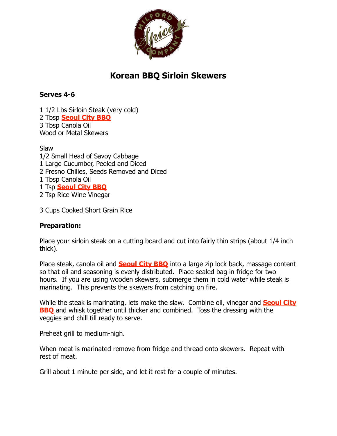

## **Korean BBQ Sirloin Skewers**

## **Serves 4-6**

1 1/2 Lbs Sirloin Steak (very cold) 2 Tbsp **[Seoul City BBQ](https://milfordspice.3dcartstores.com/product.asp?itemid=973)** 3 Tbsp Canola Oil Wood or Metal Skewers

Slaw

1/2 Small Head of Savoy Cabbage

- 1 Large Cucumber, Peeled and Diced
- 2 Fresno Chilies, Seeds Removed and Diced

1 Tbsp Canola Oil

1 Tsp **[Seoul City BBQ](https://milfordspice.3dcartstores.com/product.asp?itemid=973)**

2 Tsp Rice Wine Vinegar

3 Cups Cooked Short Grain Rice

## **Preparation:**

Place your sirloin steak on a cutting board and cut into fairly thin strips (about 1/4 inch thick).

Place steak, canola oil and **[Seoul City BBQ](https://milfordspice.3dcartstores.com/product.asp?itemid=973)** into a large zip lock back, massage content so that oil and seasoning is evenly distributed. Place sealed bag in fridge for two hours. If you are using wooden skewers, submerge them in cold water while steak is marinating. This prevents the skewers from catching on fire.

[While the steak is marinating, lets make the slaw. Combine oil, vinegar and](https://milfordspice.3dcartstores.com/product.asp?itemid=973) **Seoul City BBQ** and whisk together until thicker and combined. Toss the dressing with the veggies and chill till ready to serve.

Preheat grill to medium-high.

When meat is marinated remove from fridge and thread onto skewers. Repeat with rest of meat.

Grill about 1 minute per side, and let it rest for a couple of minutes.